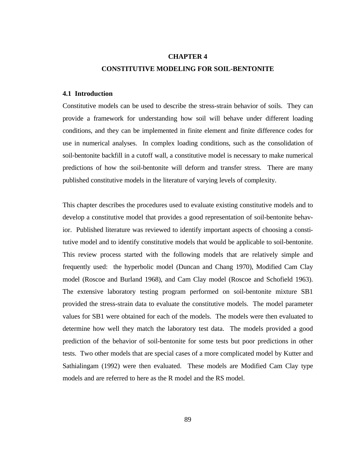#### **CHAPTER 4**

## **CONSTITUTIVE MODELING FOR SOIL-BENTONITE**

## **4.1 Introduction**

Constitutive models can be used to describe the stress-strain behavior of soils. They can provide a framework for understanding how soil will behave under different loading conditions, and they can be implemented in finite element and finite difference codes for use in numerical analyses. In complex loading conditions, such as the consolidation of soil-bentonite backfill in a cutoff wall, a constitutive model is necessary to make numerical predictions of how the soil-bentonite will deform and transfer stress. There are many published constitutive models in the literature of varying levels of complexity.

This chapter describes the procedures used to evaluate existing constitutive models and to develop a constitutive model that provides a good representation of soil-bentonite behavior. Published literature was reviewed to identify important aspects of choosing a constitutive model and to identify constitutive models that would be applicable to soil-bentonite. This review process started with the following models that are relatively simple and frequently used: the hyperbolic model (Duncan and Chang 1970), Modified Cam Clay model (Roscoe and Burland 1968), and Cam Clay model (Roscoe and Schofield 1963). The extensive laboratory testing program performed on soil-bentonite mixture SB1 provided the stress-strain data to evaluate the constitutive models. The model parameter values for SB1 were obtained for each of the models. The models were then evaluated to determine how well they match the laboratory test data. The models provided a good prediction of the behavior of soil-bentonite for some tests but poor predictions in other tests. Two other models that are special cases of a more complicated model by Kutter and Sathialingam (1992) were then evaluated. These models are Modified Cam Clay type models and are referred to here as the R model and the RS model.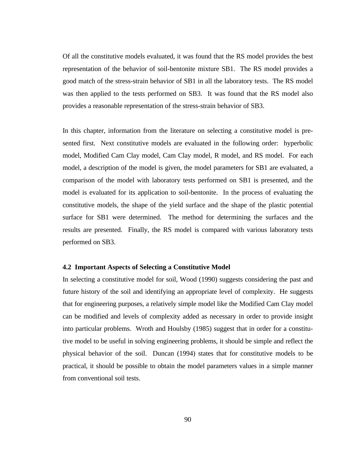Of all the constitutive models evaluated, it was found that the RS model provides the best representation of the behavior of soil-bentonite mixture SB1. The RS model provides a good match of the stress-strain behavior of SB1 in all the laboratory tests. The RS model was then applied to the tests performed on SB3. It was found that the RS model also provides a reasonable representation of the stress-strain behavior of SB3.

In this chapter, information from the literature on selecting a constitutive model is presented first. Next constitutive models are evaluated in the following order: hyperbolic model, Modified Cam Clay model, Cam Clay model, R model, and RS model. For each model, a description of the model is given, the model parameters for SB1 are evaluated, a comparison of the model with laboratory tests performed on SB1 is presented, and the model is evaluated for its application to soil-bentonite. In the process of evaluating the constitutive models, the shape of the yield surface and the shape of the plastic potential surface for SB1 were determined. The method for determining the surfaces and the results are presented. Finally, the RS model is compared with various laboratory tests performed on SB3.

# **4.2 Important Aspects of Selecting a Constitutive Model**

In selecting a constitutive model for soil, Wood (1990) suggests considering the past and future history of the soil and identifying an appropriate level of complexity. He suggests that for engineering purposes, a relatively simple model like the Modified Cam Clay model can be modified and levels of complexity added as necessary in order to provide insight into particular problems. Wroth and Houlsby (1985) suggest that in order for a constitutive model to be useful in solving engineering problems, it should be simple and reflect the physical behavior of the soil. Duncan (1994) states that for constitutive models to be practical, it should be possible to obtain the model parameters values in a simple manner from conventional soil tests.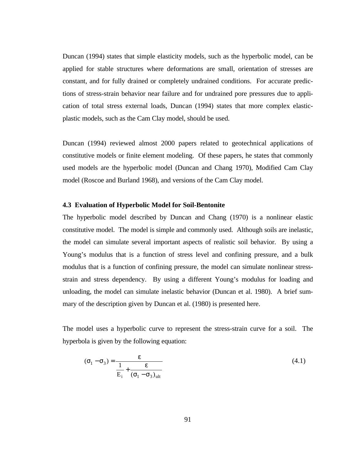Duncan (1994) states that simple elasticity models, such as the hyperbolic model, can be applied for stable structures where deformations are small, orientation of stresses are constant, and for fully drained or completely undrained conditions. For accurate predictions of stress-strain behavior near failure and for undrained pore pressures due to application of total stress external loads, Duncan (1994) states that more complex elasticplastic models, such as the Cam Clay model, should be used.

Duncan (1994) reviewed almost 2000 papers related to geotechnical applications of constitutive models or finite element modeling. Of these papers, he states that commonly used models are the hyperbolic model (Duncan and Chang 1970), Modified Cam Clay model (Roscoe and Burland 1968), and versions of the Cam Clay model.

## **4.3 Evaluation of Hyperbolic Model for Soil-Bentonite**

The hyperbolic model described by Duncan and Chang (1970) is a nonlinear elastic constitutive model. The model is simple and commonly used. Although soils are inelastic, the model can simulate several important aspects of realistic soil behavior. By using a Young's modulus that is a function of stress level and confining pressure, and a bulk modulus that is a function of confining pressure, the model can simulate nonlinear stressstrain and stress dependency. By using a different Young's modulus for loading and unloading, the model can simulate inelastic behavior (Duncan et al. 1980). A brief summary of the description given by Duncan et al. (1980) is presented here.

The model uses a hyperbolic curve to represent the stress-strain curve for a soil. The hyperbola is given by the following equation:

$$
(\sigma_1 - \sigma_3) = \frac{\varepsilon}{\frac{1}{E_i} + \frac{\varepsilon}{(\sigma_1 - \sigma_3)_{ult}}}
$$
(4.1)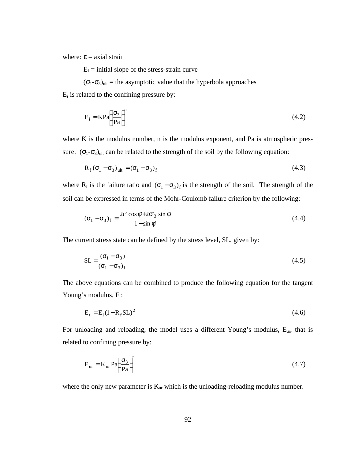where:  $\epsilon$  = axial strain

 $E_i$  = initial slope of the stress-strain curve

 $(\sigma_1-\sigma_3)_{ult}$  = the asymptotic value that the hyperbola approaches

 $E_i$  is related to the confining pressure by:

$$
E_i = KPa \left(\frac{\sigma_3}{Pa}\right)^n \tag{4.2}
$$

where K is the modulus number, n is the modulus exponent, and Pa is atmospheric pressure.  $(\sigma_1 - \sigma_3)_{\text{ult}}$  can be related to the strength of the soil by the following equation:

$$
R_f(\sigma_1 - \sigma_3)_{ult} = (\sigma_1 - \sigma_3)_f
$$
\n(4.3)

where R<sub>f</sub> is the failure ratio and  $(\sigma_1 - \sigma_3)_f$  is the strength of the soil. The strength of the soil can be expressed in terms of the Mohr-Coulomb failure criterion by the following:

$$
(\sigma_1 - \sigma_3)_f = \frac{2c' \cos \phi' + 2\sigma'_3 \sin \phi'}{1 - \sin \phi'}
$$
 (4.4)

The current stress state can be defined by the stress level, SL, given by:

$$
SL = \frac{(\sigma_1 - \sigma_3)}{(\sigma_1 - \sigma_3)_f}
$$
(4.5)

The above equations can be combined to produce the following equation for the tangent Young's modulus,  $E_t$ :

$$
E_t = E_i (1 - R_f SL)^2
$$
\n
$$
(4.6)
$$

For unloading and reloading, the model uses a different Young's modulus, Eur, that is related to confining pressure by:

$$
E_{\rm ur} = K_{\rm ur} Pa \left(\frac{\sigma_3}{Pa}\right)^n \tag{4.7}
$$

where the only new parameter is  $K_{ur}$  which is the unloading-reloading modulus number.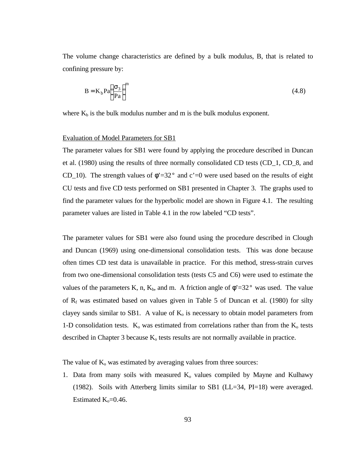The volume change characteristics are defined by a bulk modulus, B, that is related to confining pressure by:

$$
B = K_b Pa \left(\frac{\sigma_3}{Pa}\right)^m \tag{4.8}
$$

where  $K_b$  is the bulk modulus number and m is the bulk modulus exponent.

## Evaluation of Model Parameters for SB1

The parameter values for SB1 were found by applying the procedure described in Duncan et al. (1980) using the results of three normally consolidated CD tests (CD\_1, CD\_8, and CD 10). The strength values of  $\phi = 32^{\circ}$  and c'=0 were used based on the results of eight CU tests and five CD tests performed on SB1 presented in Chapter 3. The graphs used to find the parameter values for the hyperbolic model are shown in Figure 4.1. The resulting parameter values are listed in Table 4.1 in the row labeled "CD tests".

The parameter values for SB1 were also found using the procedure described in Clough and Duncan (1969) using one-dimensional consolidation tests. This was done because often times CD test data is unavailable in practice. For this method, stress-strain curves from two one-dimensional consolidation tests (tests C5 and C6) were used to estimate the values of the parameters K, n, K<sub>b</sub>, and m. A friction angle of  $\phi$ <sup>2</sup>=32° was used. The value of  $R_f$  was estimated based on values given in Table 5 of Duncan et al. (1980) for silty clayey sands similar to SB1. A value of  $K_0$  is necessary to obtain model parameters from 1-D consolidation tests.  $K_0$  was estimated from correlations rather than from the  $K_0$  tests described in Chapter 3 because  $K_0$  tests results are not normally available in practice.

The value of  $K_0$  was estimated by averaging values from three sources:

1. Data from many soils with measured  $K<sub>o</sub>$  values compiled by Mayne and Kulhawy (1982). Soils with Atterberg limits similar to SB1 (LL=34, PI=18) were averaged. Estimated  $K_0=0.46$ .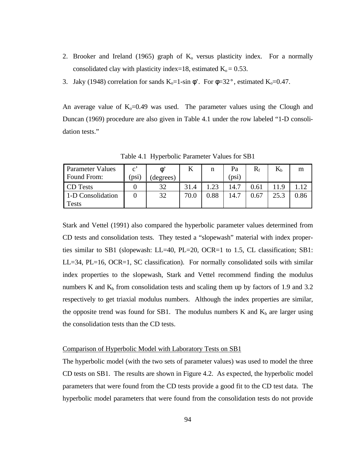- 2. Brooker and Ireland (1965) graph of  $K_0$  versus plasticity index. For a normally consolidated clay with plasticity index=18, estimated  $K_0 = 0.53$ .
- 3. Jaky (1948) correlation for sands  $K_0=1$ -sin  $\phi$ <sup>2</sup>. For  $\phi=32^{\circ}$ , estimated  $K_0=0.47$ .

An average value of  $K_0=0.49$  was used. The parameter values using the Clough and Duncan (1969) procedure are also given in Table 4.1 under the row labeled "1-D consolidation tests."

| <b>Parameter Values</b> | $\mathfrak{g}^{\mathfrak{p}}$ |           | 17   |             | Pa    | $\rm R_{\rm f}$ | $\rm K_h$ | m    |
|-------------------------|-------------------------------|-----------|------|-------------|-------|-----------------|-----------|------|
| Found From:             | (psi)                         | (degrees) |      |             | (psi) |                 |           |      |
| CD Tests                |                               | 32        | 31.4 | $2^{\circ}$ | 14.7  | 0.61            |           |      |
| 1-D Consolidation       |                               | 32        | 70.0 | 0.88        | 14.7  | 0.67            | 25.3      | 0.86 |
| <b>Tests</b>            |                               |           |      |             |       |                 |           |      |

Table 4.1 Hyperbolic Parameter Values for SB1

Stark and Vettel (1991) also compared the hyperbolic parameter values determined from CD tests and consolidation tests. They tested a "slopewash" material with index properties similar to SB1 (slopewash: LL=40, PL=20, OCR=1 to 1.5, CL classification; SB1: LL=34, PL=16, OCR=1, SC classification). For normally consolidated soils with similar index properties to the slopewash, Stark and Vettel recommend finding the modulus numbers K and  $K_b$  from consolidation tests and scaling them up by factors of 1.9 and 3.2 respectively to get triaxial modulus numbers. Although the index properties are similar, the opposite trend was found for SB1. The modulus numbers K and  $K_b$  are larger using the consolidation tests than the CD tests.

## Comparison of Hyperbolic Model with Laboratory Tests on SB1

The hyperbolic model (with the two sets of parameter values) was used to model the three CD tests on SB1. The results are shown in Figure 4.2. As expected, the hyperbolic model parameters that were found from the CD tests provide a good fit to the CD test data. The hyperbolic model parameters that were found from the consolidation tests do not provide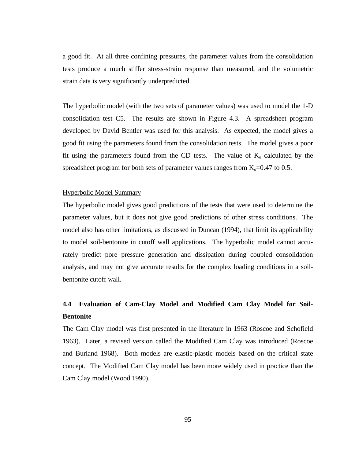a good fit. At all three confining pressures, the parameter values from the consolidation tests produce a much stiffer stress-strain response than measured, and the volumetric strain data is very significantly underpredicted.

The hyperbolic model (with the two sets of parameter values) was used to model the 1-D consolidation test C5. The results are shown in Figure 4.3. A spreadsheet program developed by David Bentler was used for this analysis. As expected, the model gives a good fit using the parameters found from the consolidation tests. The model gives a poor fit using the parameters found from the CD tests. The value of  $K_0$  calculated by the spreadsheet program for both sets of parameter values ranges from  $K_0$ =0.47 to 0.5.

## Hyperbolic Model Summary

The hyperbolic model gives good predictions of the tests that were used to determine the parameter values, but it does not give good predictions of other stress conditions. The model also has other limitations, as discussed in Duncan (1994), that limit its applicability to model soil-bentonite in cutoff wall applications. The hyperbolic model cannot accurately predict pore pressure generation and dissipation during coupled consolidation analysis, and may not give accurate results for the complex loading conditions in a soilbentonite cutoff wall.

# **4.4 Evaluation of Cam-Clay Model and Modified Cam Clay Model for Soil-Bentonite**

The Cam Clay model was first presented in the literature in 1963 (Roscoe and Schofield 1963). Later, a revised version called the Modified Cam Clay was introduced (Roscoe and Burland 1968). Both models are elastic-plastic models based on the critical state concept. The Modified Cam Clay model has been more widely used in practice than the Cam Clay model (Wood 1990).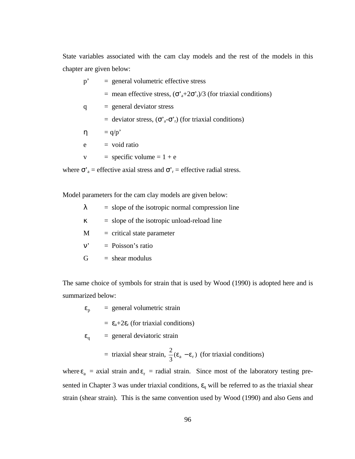State variables associated with the cam clay models and the rest of the models in this chapter are given below:

| $p^{\prime}$ | $=$ general volumetric effective stress                                             |
|--------------|-------------------------------------------------------------------------------------|
|              | = mean effective stress, $(\sigma_a^2 + 2\sigma_r^2)/3$ (for triaxial conditions)   |
| q            | $=$ general deviator stress                                                         |
|              | = deviator stress, $(\sigma_a^T \sigma_r)$ (for triaxial conditions)                |
| η            | $= q/p'$                                                                            |
| e            | $=$ void ratio                                                                      |
| V            | $=$ specific volume $= 1 + e$                                                       |
|              | where $\sigma_a$ = effective axial stress and $\sigma_r$ = effective radial stress. |

Model parameters for the cam clay models are given below:

| $=$ slope of the isotropic normal compression line |
|----------------------------------------------------|
|                                                    |

| κ |  |  |  |  | $=$ slope of the isotropic unload-reload line |  |
|---|--|--|--|--|-----------------------------------------------|--|
|---|--|--|--|--|-----------------------------------------------|--|

 $M =$  critical state parameter

 $v'$  = Poisson's ratio

 $G = shear$  modulus

The same choice of symbols for strain that is used by Wood (1990) is adopted here and is summarized below:

 $\epsilon_{p}$ = general volumetric strain

 $= \varepsilon_a + 2\varepsilon_r$  (for triaxial conditions)

$$
\varepsilon_{q} = general deviatoric strain
$$

= triaxial shear strain, 
$$
\frac{2}{3}(\varepsilon_a - \varepsilon_r)
$$
 (for triaxial conditions)

where  $\varepsilon_a$  = axial strain and  $\varepsilon_r$  = radial strain. Since most of the laboratory testing presented in Chapter 3 was under triaxial conditions,  $\varepsilon_q$  will be referred to as the triaxial shear strain (shear strain). This is the same convention used by Wood (1990) and also Gens and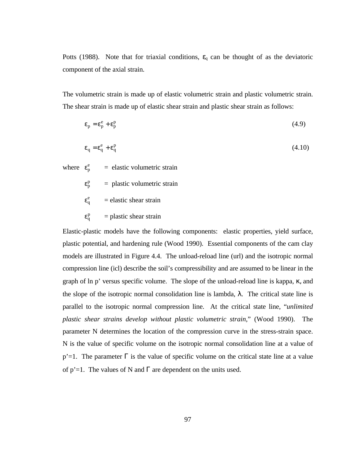Potts (1988). Note that for triaxial conditions,  $\varepsilon_q$  can be thought of as the deviatoric component of the axial strain.

The volumetric strain is made up of elastic volumetric strain and plastic volumetric strain. The shear strain is made up of elastic shear strain and plastic shear strain as follows:

$$
\varepsilon_{\rm p} = \varepsilon_{\rm p}^{\rm e} + \varepsilon_{\rm p}^{\rm p} \tag{4.9}
$$

$$
\varepsilon_{\mathbf{q}} = \varepsilon_{\mathbf{q}}^{\mathbf{e}} + \varepsilon_{\mathbf{q}}^{\mathbf{p}} \tag{4.10}
$$

where  $\varepsilon_p^e$  = elastic volumetric strain

- $\varepsilon_p^p$  = plastic volumetric strain
- e q = elastic shear strain
- p q  $=$  plastic shear strain

Elastic-plastic models have the following components: elastic properties, yield surface, plastic potential, and hardening rule (Wood 1990). Essential components of the cam clay models are illustrated in Figure 4.4. The unload-reload line (url) and the isotropic normal compression line (icl) describe the soil's compressibility and are assumed to be linear in the graph of ln p' versus specific volume. The slope of the unload-reload line is kappa, κ, and the slope of the isotropic normal consolidation line is lambda,  $\lambda$ . The critical state line is parallel to the isotropic normal compression line. At the critical state line, "*unlimited plastic shear strains develop without plastic volumetric strain*," (Wood 1990). The parameter N determines the location of the compression curve in the stress-strain space. N is the value of specific volume on the isotropic normal consolidation line at a value of p'=1. The parameter  $\Gamma$  is the value of specific volume on the critical state line at a value of  $p'=1$ . The values of N and  $\Gamma$  are dependent on the units used.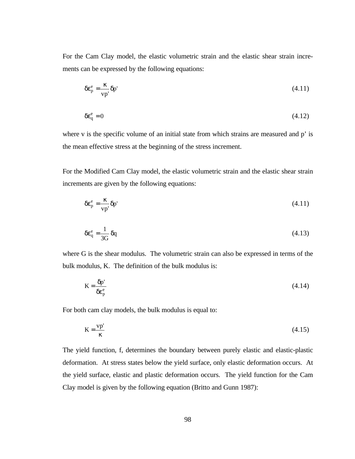For the Cam Clay model, the elastic volumetric strain and the elastic shear strain increments can be expressed by the following equations:

$$
\delta \varepsilon_p^e = \frac{\kappa}{vp'} \delta p' \tag{4.11}
$$

$$
\delta \varepsilon_{\rm q}^{\rm e} = 0 \tag{4.12}
$$

where v is the specific volume of an initial state from which strains are measured and p' is the mean effective stress at the beginning of the stress increment.

For the Modified Cam Clay model, the elastic volumetric strain and the elastic shear strain increments are given by the following equations:

$$
\delta \varepsilon_p^e = \frac{\kappa}{vp'} \delta p' \tag{4.11}
$$

$$
\delta \varepsilon_q^e = \frac{1}{3G} \, \delta q \tag{4.13}
$$

where G is the shear modulus. The volumetric strain can also be expressed in terms of the bulk modulus, K. The definition of the bulk modulus is:

$$
K = \frac{\delta p'}{\delta \varepsilon_p^e} \tag{4.14}
$$

For both cam clay models, the bulk modulus is equal to:

$$
K = \frac{vp'}{\kappa} \tag{4.15}
$$

The yield function, f, determines the boundary between purely elastic and elastic-plastic deformation. At stress states below the yield surface, only elastic deformation occurs. At the yield surface, elastic and plastic deformation occurs. The yield function for the Cam Clay model is given by the following equation (Britto and Gunn 1987):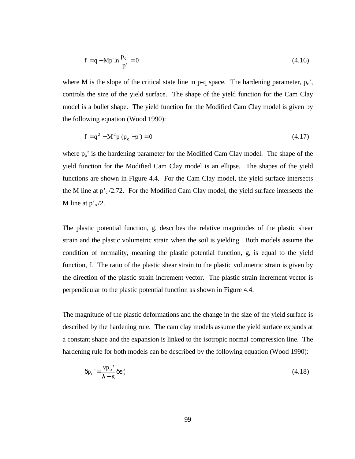$$
f = q - Mp' \ln \frac{p_c'}{p'} = 0
$$
\n(4.16)

where M is the slope of the critical state line in p-q space. The hardening parameter,  $p_c$ , controls the size of the yield surface. The shape of the yield function for the Cam Clay model is a bullet shape. The yield function for the Modified Cam Clay model is given by the following equation (Wood 1990):

$$
f = q^2 - M^2 p'(p_0' - p') = 0
$$
\n(4.17)

where  $p_0$ ' is the hardening parameter for the Modified Cam Clay model. The shape of the yield function for the Modified Cam Clay model is an ellipse. The shapes of the yield functions are shown in Figure 4.4. For the Cam Clay model, the yield surface intersects the M line at  $p_c^2/2.72$ . For the Modified Cam Clay model, the yield surface intersects the M line at  $p^2 o/2$ .

The plastic potential function, g, describes the relative magnitudes of the plastic shear strain and the plastic volumetric strain when the soil is yielding. Both models assume the condition of normality, meaning the plastic potential function, g, is equal to the yield function, f. The ratio of the plastic shear strain to the plastic volumetric strain is given by the direction of the plastic strain increment vector. The plastic strain increment vector is perpendicular to the plastic potential function as shown in Figure 4.4.

The magnitude of the plastic deformations and the change in the size of the yield surface is described by the hardening rule. The cam clay models assume the yield surface expands at a constant shape and the expansion is linked to the isotropic normal compression line. The hardening rule for both models can be described by the following equation (Wood 1990):

$$
\delta p_o' = \frac{vp_o'}{\lambda - \kappa} \delta \varepsilon_p^p \tag{4.18}
$$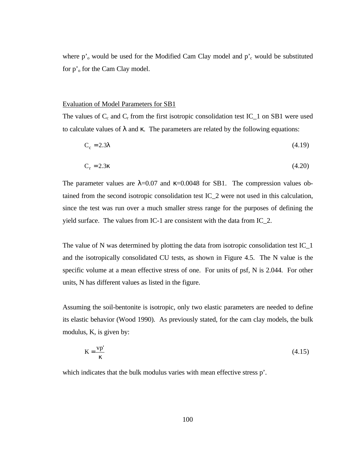where  $p^{\prime}$ <sub>o</sub> would be used for the Modified Cam Clay model and  $p^{\prime}$ <sub>c</sub> would be substituted for p'<sub>o</sub> for the Cam Clay model.

#### Evaluation of Model Parameters for SB1

The values of  $C_c$  and  $C_r$  from the first isotropic consolidation test IC\_1 on SB1 were used to calculate values of  $\lambda$  and  $\kappa$ . The parameters are related by the following equations:

$$
C_c = 2.3\lambda \tag{4.19}
$$

$$
C_r = 2.3\kappa \tag{4.20}
$$

The parameter values are  $\lambda$ =0.07 and  $\kappa$ =0.0048 for SB1. The compression values obtained from the second isotropic consolidation test IC\_2 were not used in this calculation, since the test was run over a much smaller stress range for the purposes of defining the yield surface. The values from IC-1 are consistent with the data from IC\_2.

The value of N was determined by plotting the data from isotropic consolidation test IC\_1 and the isotropically consolidated CU tests, as shown in Figure 4.5. The N value is the specific volume at a mean effective stress of one. For units of psf, N is 2.044. For other units, N has different values as listed in the figure.

Assuming the soil-bentonite is isotropic, only two elastic parameters are needed to define its elastic behavior (Wood 1990). As previously stated, for the cam clay models, the bulk modulus, K, is given by:

$$
K = \frac{vp'}{\kappa} \tag{4.15}
$$

which indicates that the bulk modulus varies with mean effective stress p'.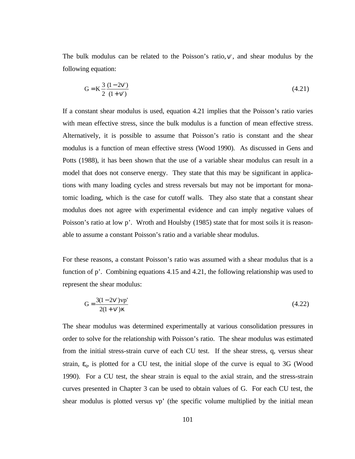The bulk modulus can be related to the Poisson's ratio,  $v'$ , and shear modulus by the following equation:

$$
G = K \frac{3}{2} \frac{(1 - 2v')}{(1 + v')} \tag{4.21}
$$

If a constant shear modulus is used, equation 4.21 implies that the Poisson's ratio varies with mean effective stress, since the bulk modulus is a function of mean effective stress. Alternatively, it is possible to assume that Poisson's ratio is constant and the shear modulus is a function of mean effective stress (Wood 1990). As discussed in Gens and Potts (1988), it has been shown that the use of a variable shear modulus can result in a model that does not conserve energy. They state that this may be significant in applications with many loading cycles and stress reversals but may not be important for monatomic loading, which is the case for cutoff walls. They also state that a constant shear modulus does not agree with experimental evidence and can imply negative values of Poisson's ratio at low p'. Wroth and Houlsby (1985) state that for most soils it is reasonable to assume a constant Poisson's ratio and a variable shear modulus.

For these reasons, a constant Poisson's ratio was assumed with a shear modulus that is a function of p'. Combining equations 4.15 and 4.21, the following relationship was used to represent the shear modulus:

$$
G = \frac{3(1 - 2v')vp'}{2(1 + v')\kappa}
$$
(4.22)

The shear modulus was determined experimentally at various consolidation pressures in order to solve for the relationship with Poisson's ratio. The shear modulus was estimated from the initial stress-strain curve of each CU test. If the shear stress, q, versus shear strain,  $\varepsilon_q$ , is plotted for a CU test, the initial slope of the curve is equal to 3G (Wood 1990). For a CU test, the shear strain is equal to the axial strain, and the stress-strain curves presented in Chapter 3 can be used to obtain values of G. For each CU test, the shear modulus is plotted versus vp' (the specific volume multiplied by the initial mean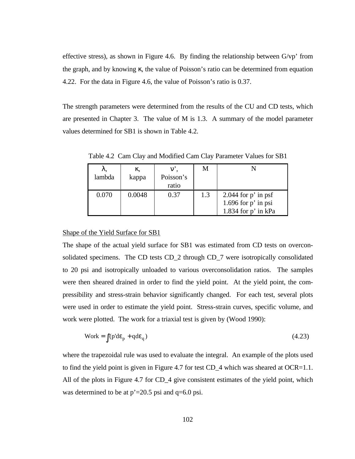effective stress), as shown in Figure 4.6. By finding the relationship between  $G/vp'$  from the graph, and by knowing κ, the value of Poisson's ratio can be determined from equation 4.22. For the data in Figure 4.6, the value of Poisson's ratio is 0.37.

The strength parameters were determined from the results of the CU and CD tests, which are presented in Chapter 3. The value of M is 1.3. A summary of the model parameter values determined for SB1 is shown in Table 4.2.

λ, lambda κ, kappa ν', Poisson's ratio M N  $0.070$  0.0048 0.37 1.3 2.044 for p' in psf 1.696 for p' in psi 1.834 for p' in kPa

Table 4.2 Cam Clay and Modified Cam Clay Parameter Values for SB1

# Shape of the Yield Surface for SB1

The shape of the actual yield surface for SB1 was estimated from CD tests on overconsolidated specimens. The CD tests CD\_2 through CD\_7 were isotropically consolidated to 20 psi and isotropically unloaded to various overconsolidation ratios. The samples were then sheared drained in order to find the yield point. At the yield point, the compressibility and stress-strain behavior significantly changed. For each test, several plots were used in order to estimate the yield point. Stress-strain curves, specific volume, and work were plotted. The work for a triaxial test is given by (Wood 1990):

$$
Work = \int (p'd\epsilon_p + qd\epsilon_q)
$$
\n(4.23)

where the trapezoidal rule was used to evaluate the integral. An example of the plots used to find the yield point is given in Figure 4.7 for test  $CD_4$  which was sheared at  $OCR=1.1$ . All of the plots in Figure 4.7 for CD\_4 give consistent estimates of the yield point, which was determined to be at  $p'=20.5$  psi and  $q=6.0$  psi.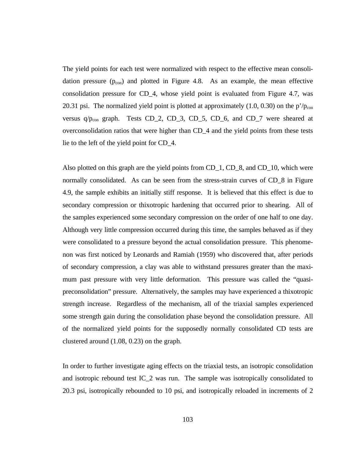The yield points for each test were normalized with respect to the effective mean consolidation pressure  $(p_{\text{con}})$  and plotted in Figure 4.8. As an example, the mean effective consolidation pressure for CD\_4, whose yield point is evaluated from Figure 4.7, was 20.31 psi. The normalized yield point is plotted at approximately  $(1.0, 0.30)$  on the p'/ $p_{con}$ versus  $q/p_{con}$  graph. Tests CD\_2, CD\_3, CD\_5, CD\_6, and CD\_7 were sheared at overconsolidation ratios that were higher than CD\_4 and the yield points from these tests lie to the left of the yield point for CD\_4.

Also plotted on this graph are the yield points from CD\_1, CD\_8, and CD\_10, which were normally consolidated. As can be seen from the stress-strain curves of CD\_8 in Figure 4.9, the sample exhibits an initially stiff response. It is believed that this effect is due to secondary compression or thixotropic hardening that occurred prior to shearing. All of the samples experienced some secondary compression on the order of one half to one day. Although very little compression occurred during this time, the samples behaved as if they were consolidated to a pressure beyond the actual consolidation pressure. This phenomenon was first noticed by Leonards and Ramiah (1959) who discovered that, after periods of secondary compression, a clay was able to withstand pressures greater than the maximum past pressure with very little deformation. This pressure was called the "quasipreconsolidation" pressure. Alternatively, the samples may have experienced a thixotropic strength increase. Regardless of the mechanism, all of the triaxial samples experienced some strength gain during the consolidation phase beyond the consolidation pressure. All of the normalized yield points for the supposedly normally consolidated CD tests are clustered around (1.08, 0.23) on the graph.

In order to further investigate aging effects on the triaxial tests, an isotropic consolidation and isotropic rebound test IC\_2 was run. The sample was isotropically consolidated to 20.3 psi, isotropically rebounded to 10 psi, and isotropically reloaded in increments of 2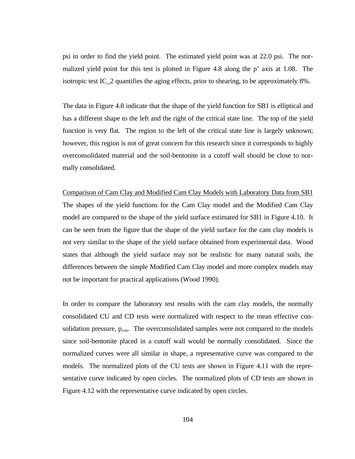psi in order to find the yield point. The estimated yield point was at 22.0 psi. The normalized yield point for this test is plotted in Figure 4.8 along the p' axis at 1.08. The isotropic test IC\_2 quantifies the aging effects, prior to shearing, to be approximately 8%.

The data in Figure 4.8 indicate that the shape of the yield function for SB1 is elliptical and has a different shape to the left and the right of the critical state line. The top of the yield function is very flat. The region to the left of the critical state line is largely unknown; however, this region is not of great concern for this research since it corresponds to highly overconsolidated material and the soil-bentonite in a cutoff wall should be close to normally consolidated.

Comparison of Cam Clay and Modified Cam Clay Models with Laboratory Data from SB1 The shapes of the yield functions for the Cam Clay model and the Modified Cam Clay model are compared to the shape of the yield surface estimated for SB1 in Figure 4.10. It can be seen from the figure that the shape of the yield surface for the cam clay models is not very similar to the shape of the yield surface obtained from experimental data. Wood states that although the yield surface may not be realistic for many natural soils, the differences between the simple Modified Cam Clay model and more complex models may not be important for practical applications (Wood 1990).

In order to compare the laboratory test results with the cam clay models, the normally consolidated CU and CD tests were normalized with respect to the mean effective consolidation pressure,  $p_{\text{con}}$ . The overconsolidated samples were not compared to the models since soil-bentonite placed in a cutoff wall would be normally consolidated. Since the normalized curves were all similar in shape, a representative curve was compared to the models. The normalized plots of the CU tests are shown in Figure 4.11 with the representative curve indicated by open circles. The normalized plots of CD tests are shown in Figure 4.12 with the representative curve indicated by open circles.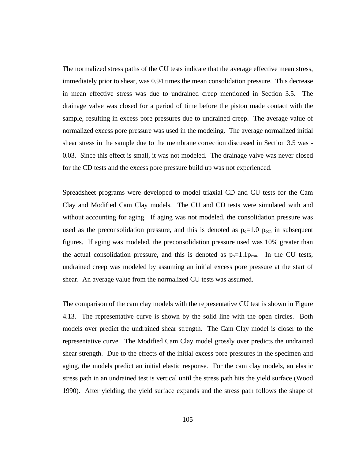The normalized stress paths of the CU tests indicate that the average effective mean stress, immediately prior to shear, was 0.94 times the mean consolidation pressure. This decrease in mean effective stress was due to undrained creep mentioned in Section 3.5. The drainage valve was closed for a period of time before the piston made contact with the sample, resulting in excess pore pressures due to undrained creep. The average value of normalized excess pore pressure was used in the modeling. The average normalized initial shear stress in the sample due to the membrane correction discussed in Section 3.5 was - 0.03. Since this effect is small, it was not modeled. The drainage valve was never closed for the CD tests and the excess pore pressure build up was not experienced.

Spreadsheet programs were developed to model triaxial CD and CU tests for the Cam Clay and Modified Cam Clay models. The CU and CD tests were simulated with and without accounting for aging. If aging was not modeled, the consolidation pressure was used as the preconsolidation pressure, and this is denoted as  $p_0=1.0$   $p_{con}$  in subsequent figures. If aging was modeled, the preconsolidation pressure used was 10% greater than the actual consolidation pressure, and this is denoted as  $p_0=1.1p_{con}$ . In the CU tests, undrained creep was modeled by assuming an initial excess pore pressure at the start of shear. An average value from the normalized CU tests was assumed.

The comparison of the cam clay models with the representative CU test is shown in Figure 4.13. The representative curve is shown by the solid line with the open circles. Both models over predict the undrained shear strength. The Cam Clay model is closer to the representative curve. The Modified Cam Clay model grossly over predicts the undrained shear strength. Due to the effects of the initial excess pore pressures in the specimen and aging, the models predict an initial elastic response. For the cam clay models, an elastic stress path in an undrained test is vertical until the stress path hits the yield surface (Wood 1990). After yielding, the yield surface expands and the stress path follows the shape of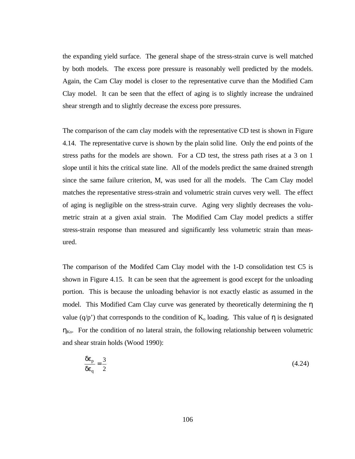the expanding yield surface. The general shape of the stress-strain curve is well matched by both models. The excess pore pressure is reasonably well predicted by the models. Again, the Cam Clay model is closer to the representative curve than the Modified Cam Clay model. It can be seen that the effect of aging is to slightly increase the undrained shear strength and to slightly decrease the excess pore pressures.

The comparison of the cam clay models with the representative CD test is shown in Figure 4.14. The representative curve is shown by the plain solid line. Only the end points of the stress paths for the models are shown. For a CD test, the stress path rises at a 3 on 1 slope until it hits the critical state line. All of the models predict the same drained strength since the same failure criterion, M, was used for all the models. The Cam Clay model matches the representative stress-strain and volumetric strain curves very well. The effect of aging is negligible on the stress-strain curve. Aging very slightly decreases the volumetric strain at a given axial strain. The Modified Cam Clay model predicts a stiffer stress-strain response than measured and significantly less volumetric strain than measured.

The comparison of the Modifed Cam Clay model with the 1-D consolidation test C5 is shown in Figure 4.15. It can be seen that the agreement is good except for the unloading portion. This is because the unloading behavior is not exactly elastic as assumed in the model. This Modified Cam Clay curve was generated by theoretically determining the η value (q/p') that corresponds to the condition of  $K_0$  loading. This value of  $\eta$  is designated  $\eta_{\text{Ko}}$ . For the condition of no lateral strain, the following relationship between volumetric and shear strain holds (Wood 1990):

$$
\frac{\delta \varepsilon_p}{\delta \varepsilon_q} = \frac{3}{2} \tag{4.24}
$$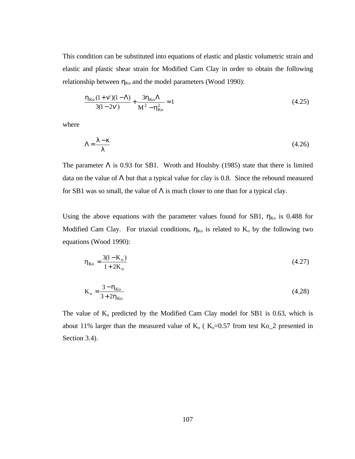This condition can be substituted into equations of elastic and plastic volumetric strain and elastic and plastic shear strain for Modified Cam Clay in order to obtain the following relationship between  $\eta_{K_0}$  and the model parameters (Wood 1990):

$$
\frac{\eta_{\text{Ko}}(1+\nu')(1-\Lambda)}{3(1-2\nu')} + \frac{3\eta_{\text{Ko}}\Lambda}{M^2 - \eta_{\text{Ko}}^2} = 1
$$
\n(4.25)

where

$$
\Lambda = \frac{\lambda - \kappa}{\lambda} \tag{4.26}
$$

The parameter  $\Lambda$  is 0.93 for SB1. Wroth and Houlsby (1985) state that there is limited data on the value of  $\Lambda$  but that a typical value for clay is 0.8. Since the rebound measured for SB1 was so small, the value of  $\Lambda$  is much closer to one than for a typical clay.

Using the above equations with the parameter values found for SB1,  $\eta_{K_0}$  is 0.488 for Modified Cam Clay. For triaxial conditions,  $\eta_{K_0}$  is related to  $K_0$  by the following two equations (Wood 1990):

$$
\eta_{\text{Ko}} = \frac{3(1 - K_o)}{1 + 2K_o} \tag{4.27}
$$

$$
K_o = \frac{3 - \eta_{Ko}}{3 + 2\eta_{Ko}}\tag{4.28}
$$

The value of  $K_0$  predicted by the Modified Cam Clay model for SB1 is 0.63, which is about 11% larger than the measured value of  $K_0$  ( $K_0=0.57$  from test Ko<sub>-</sub>2 presented in Section 3.4).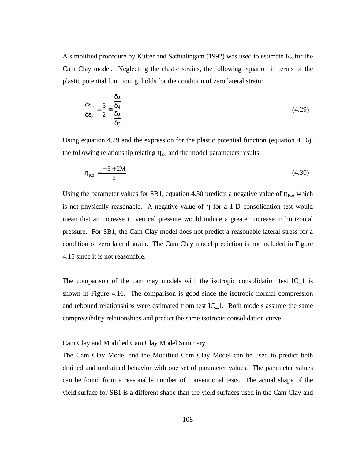A simplified procedure by Kutter and Sathialingam (1992) was used to estimate  $K_0$  for the Cam Clay model. Neglecting the elastic strains, the following equation in terms of the plastic potential function, g, holds for the condition of zero lateral strain:

$$
\frac{\delta \varepsilon_{\rm p}}{\delta \varepsilon_{\rm q}} = \frac{3}{2} \approx \frac{\frac{\delta g}{\delta q}}{\frac{\delta g}{\delta p}}
$$
(4.29)

Using equation 4.29 and the expression for the plastic potential function (equation 4.16), the following relationship relating  $\eta_{K_0}$  and the model parameters results:

$$
\eta_{\text{Ko}} = \frac{-3 + 2M}{2} \tag{4.30}
$$

Using the parameter values for SB1, equation 4.30 predicts a negative value of  $\eta_{K_0}$ , which is not physically reasonable. A negative value of η for a 1-D consolidation test would mean that an increase in vertical pressure would induce a greater increase in horizontal pressure. For SB1, the Cam Clay model does not predict a reasonable lateral stress for a condition of zero lateral strain. The Cam Clay model prediction is not included in Figure 4.15 since it is not reasonable.

The comparison of the cam clay models with the isotropic consolidation test IC  $\bar{1}$  is shown in Figure 4.16. The comparison is good since the isotropic normal compression and rebound relationships were estimated from test IC\_1. Both models assume the same compressibility relationships and predict the same isotropic consolidation curve.

#### Cam Clay and Modified Cam Clay Model Summary

The Cam Clay Model and the Modified Cam Clay Model can be used to predict both drained and undrained behavior with one set of parameter values. The parameter values can be found from a reasonable number of conventional tests. The actual shape of the yield surface for SB1 is a different shape than the yield surfaces used in the Cam Clay and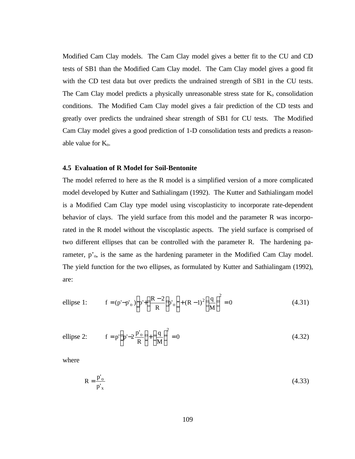Modified Cam Clay models. The Cam Clay model gives a better fit to the CU and CD tests of SB1 than the Modified Cam Clay model. The Cam Clay model gives a good fit with the CD test data but over predicts the undrained strength of SB1 in the CU tests. The Cam Clay model predicts a physically unreasonable stress state for  $K_0$  consolidation conditions. The Modified Cam Clay model gives a fair prediction of the CD tests and greatly over predicts the undrained shear strength of SB1 for CU tests. The Modified Cam Clay model gives a good prediction of 1-D consolidation tests and predicts a reasonable value for  $K_0$ .

#### **4.5 Evaluation of R Model for Soil-Bentonite**

The model referred to here as the R model is a simplified version of a more complicated model developed by Kutter and Sathialingam (1992). The Kutter and Sathialingam model is a Modified Cam Clay type model using viscoplasticity to incorporate rate-dependent behavior of clays. The yield surface from this model and the parameter R was incorporated in the R model without the viscoplastic aspects. The yield surface is comprised of two different ellipses that can be controlled with the parameter R. The hardening parameter, p'<sub>o</sub>, is the same as the hardening parameter in the Modified Cam Clay model. The yield function for the two ellipses, as formulated by Kutter and Sathialingam (1992), are:

ellipse 1: 
$$
f = (p'-p'_o) \left[ p' + \left( \frac{R-2}{R} \right) p'_o \right] + (R-1)^2 \left( \frac{q}{M} \right)^2 = 0
$$
 (4.31)

ellipse 2: 
$$
f = p' \left( p' - 2 \frac{p'_{o}}{R} \right) + \left( \frac{q}{M} \right)^2 = 0
$$
 (4.32)

where

$$
R = \frac{p'_{o}}{p'_{x}}
$$
 (4.33)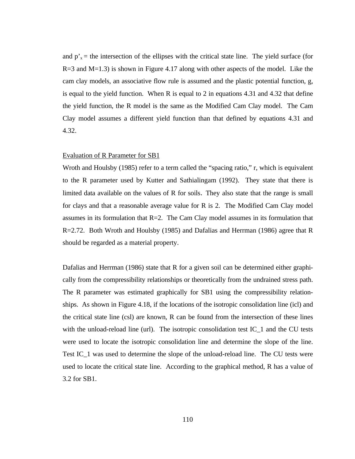and  $p'_{x}$  = the intersection of the ellipses with the critical state line. The yield surface (for  $R=3$  and  $M=1.3$ ) is shown in Figure 4.17 along with other aspects of the model. Like the cam clay models, an associative flow rule is assumed and the plastic potential function, g, is equal to the yield function. When R is equal to 2 in equations 4.31 and 4.32 that define the yield function, the R model is the same as the Modified Cam Clay model. The Cam Clay model assumes a different yield function than that defined by equations 4.31 and 4.32.

#### Evaluation of R Parameter for SB1

Wroth and Houlsby (1985) refer to a term called the "spacing ratio," r, which is equivalent to the R parameter used by Kutter and Sathialingam (1992). They state that there is limited data available on the values of R for soils. They also state that the range is small for clays and that a reasonable average value for R is 2. The Modified Cam Clay model assumes in its formulation that R=2. The Cam Clay model assumes in its formulation that R=2.72. Both Wroth and Houlsby (1985) and Dafalias and Herrman (1986) agree that R should be regarded as a material property.

Dafalias and Herrman (1986) state that R for a given soil can be determined either graphically from the compressibility relationships or theoretically from the undrained stress path. The R parameter was estimated graphically for SB1 using the compressibility relationships. As shown in Figure 4.18, if the locations of the isotropic consolidation line (icl) and the critical state line (csl) are known, R can be found from the intersection of these lines with the unload-reload line (url). The isotropic consolidation test IC  $\,$  1 and the CU tests were used to locate the isotropic consolidation line and determine the slope of the line. Test IC 1 was used to determine the slope of the unload-reload line. The CU tests were used to locate the critical state line. According to the graphical method, R has a value of 3.2 for SB1.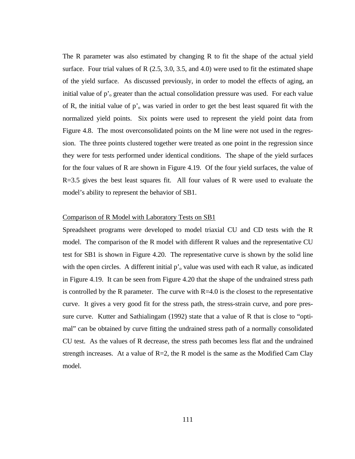The R parameter was also estimated by changing R to fit the shape of the actual yield surface. Four trial values of R  $(2.5, 3.0, 3.5,$  and 4.0) were used to fit the estimated shape of the yield surface. As discussed previously, in order to model the effects of aging, an initial value of  $p^{\prime}$  greater than the actual consolidation pressure was used. For each value of R, the initial value of  $p<sub>o</sub>$  was varied in order to get the best least squared fit with the normalized yield points. Six points were used to represent the yield point data from Figure 4.8. The most overconsolidated points on the M line were not used in the regression. The three points clustered together were treated as one point in the regression since they were for tests performed under identical conditions. The shape of the yield surfaces for the four values of R are shown in Figure 4.19. Of the four yield surfaces, the value of R=3.5 gives the best least squares fit. All four values of R were used to evaluate the model's ability to represent the behavior of SB1.

#### Comparison of R Model with Laboratory Tests on SB1

Spreadsheet programs were developed to model triaxial CU and CD tests with the R model. The comparison of the R model with different R values and the representative CU test for SB1 is shown in Figure 4.20. The representative curve is shown by the solid line with the open circles. A different initial  $p<sub>o</sub>$  value was used with each R value, as indicated in Figure 4.19. It can be seen from Figure 4.20 that the shape of the undrained stress path is controlled by the R parameter. The curve with  $R=4.0$  is the closest to the representative curve. It gives a very good fit for the stress path, the stress-strain curve, and pore pressure curve. Kutter and Sathialingam (1992) state that a value of R that is close to "optimal" can be obtained by curve fitting the undrained stress path of a normally consolidated CU test. As the values of R decrease, the stress path becomes less flat and the undrained strength increases. At a value of  $R=2$ , the R model is the same as the Modified Cam Clay model.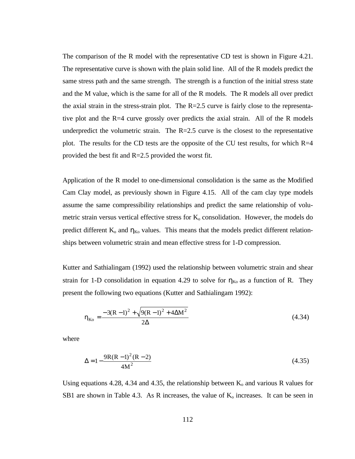The comparison of the R model with the representative CD test is shown in Figure 4.21. The representative curve is shown with the plain solid line. All of the R models predict the same stress path and the same strength. The strength is a function of the initial stress state and the M value, which is the same for all of the R models. The R models all over predict the axial strain in the stress-strain plot. The  $R=2.5$  curve is fairly close to the representative plot and the R=4 curve grossly over predicts the axial strain. All of the R models underpredict the volumetric strain. The  $R=2.5$  curve is the closest to the representative plot. The results for the CD tests are the opposite of the CU test results, for which R=4 provided the best fit and  $R=2.5$  provided the worst fit.

Application of the R model to one-dimensional consolidation is the same as the Modified Cam Clay model, as previously shown in Figure 4.15. All of the cam clay type models assume the same compressibility relationships and predict the same relationship of volumetric strain versus vertical effective stress for  $K_0$  consolidation. However, the models do predict different  $K_0$  and  $\eta_{K_0}$  values. This means that the models predict different relationships between volumetric strain and mean effective stress for 1-D compression.

Kutter and Sathialingam (1992) used the relationship between volumetric strain and shear strain for 1-D consolidation in equation 4.29 to solve for  $\eta_{K_0}$  as a function of R. They present the following two equations (Kutter and Sathialingam 1992):

$$
\eta_{\text{Ko}} = \frac{-3(R-1)^2 + \sqrt{9(R-1)^2 + 4\Delta M^2}}{2\Delta} \tag{4.34}
$$

where

$$
\Delta = 1 - \frac{9R(R-1)^2(R-2)}{4M^2}
$$
 (4.35)

Using equations 4.28, 4.34 and 4.35, the relationship between  $K_0$  and various R values for SB1 are shown in Table 4.3. As R increases, the value of  $K_0$  increases. It can be seen in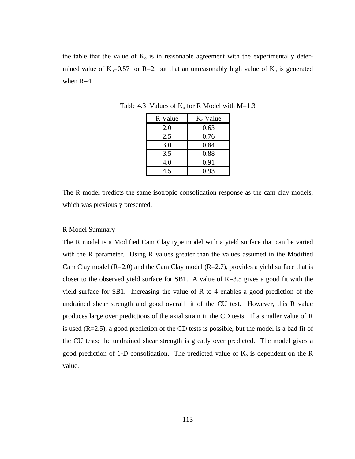the table that the value of  $K_0$  is in reasonable agreement with the experimentally determined value of  $K_0=0.57$  for R=2, but that an unreasonably high value of  $K_0$  is generated when  $R=4$ .

| R Value | $Ko$ Value |
|---------|------------|
| 2.0     | 0.63       |
| 2.5     | 0.76       |
| 3.0     | 0.84       |
| 3.5     | 0.88       |
| 4.0     | 0.91       |
| 4.5     | 0.93       |

Table 4.3 Values of  $K_0$  for R Model with M=1.3

The R model predicts the same isotropic consolidation response as the cam clay models, which was previously presented.

## R Model Summary

The R model is a Modified Cam Clay type model with a yield surface that can be varied with the R parameter. Using R values greater than the values assumed in the Modified Cam Clay model  $(R=2.0)$  and the Cam Clay model  $(R=2.7)$ , provides a yield surface that is closer to the observed yield surface for SB1. A value of  $R=3.5$  gives a good fit with the yield surface for SB1. Increasing the value of R to 4 enables a good prediction of the undrained shear strength and good overall fit of the CU test. However, this R value produces large over predictions of the axial strain in the CD tests. If a smaller value of R is used  $(R=2.5)$ , a good prediction of the CD tests is possible, but the model is a bad fit of the CU tests; the undrained shear strength is greatly over predicted. The model gives a good prediction of 1-D consolidation. The predicted value of  $K_0$  is dependent on the R value.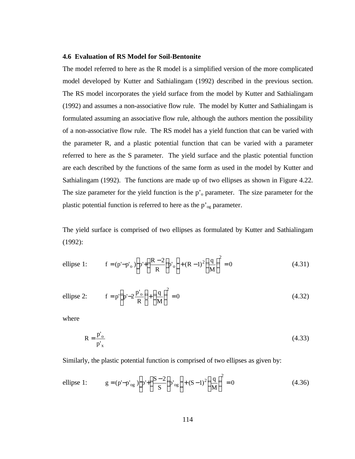#### **4.6 Evaluation of RS Model for Soil-Bentonite**

The model referred to here as the R model is a simplified version of the more complicated model developed by Kutter and Sathialingam (1992) described in the previous section. The RS model incorporates the yield surface from the model by Kutter and Sathialingam (1992) and assumes a non-associative flow rule. The model by Kutter and Sathialingam is formulated assuming an associative flow rule, although the authors mention the possibility of a non-associative flow rule. The RS model has a yield function that can be varied with the parameter R, and a plastic potential function that can be varied with a parameter referred to here as the S parameter. The yield surface and the plastic potential function are each described by the functions of the same form as used in the model by Kutter and Sathialingam (1992). The functions are made up of two ellipses as shown in Figure 4.22. The size parameter for the yield function is the  $p<sub>o</sub>$  parameter. The size parameter for the plastic potential function is referred to here as the  $p'_{og}$  parameter.

The yield surface is comprised of two ellipses as formulated by Kutter and Sathialingam (1992):

ellipse 1: 
$$
f = (p'-p'_o) \left[ p' + \left( \frac{R-2}{R} \right) p'_o \right] + (R-1)^2 \left( \frac{q}{M} \right)^2 = 0
$$
 (4.31)

ellipse 2: 
$$
f = p' \left( p' - 2 \frac{p'_{o}}{R} \right) + \left( \frac{q}{M} \right)^2 = 0
$$
 (4.32)

where

$$
R = \frac{p'_{o}}{p'_{x}}
$$
 (4.33)

Similarly, the plastic potential function is comprised of two ellipses as given by:

ellipse 1: 
$$
g = (p'-p'_{og}) \left[ p' + \left( \frac{S-2}{S} \right) p'_{og} \right] + (S-1)^2 \left( \frac{q}{M} \right)^2 = 0
$$
 (4.36)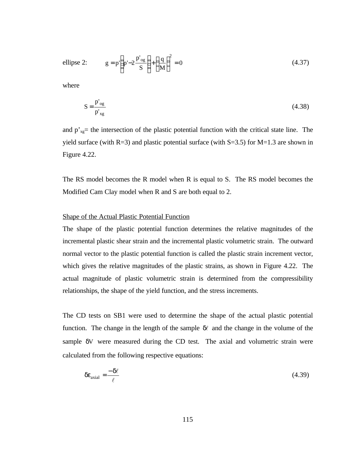ellipse 2: 
$$
g = p' \left( p' - 2 \frac{p'_{og}}{S} \right) + \left( \frac{q}{M} \right)^2 = 0
$$
 (4.37)

where

$$
S = \frac{p'_{og}}{p'_{xg}}
$$
 (4.38)

and  $p'_{xg}$  the intersection of the plastic potential function with the critical state line. The yield surface (with  $R=3$ ) and plastic potential surface (with  $S=3.5$ ) for  $M=1.3$  are shown in Figure 4.22.

The RS model becomes the R model when R is equal to S. The RS model becomes the Modified Cam Clay model when R and S are both equal to 2.

# Shape of the Actual Plastic Potential Function

The shape of the plastic potential function determines the relative magnitudes of the incremental plastic shear strain and the incremental plastic volumetric strain. The outward normal vector to the plastic potential function is called the plastic strain increment vector, which gives the relative magnitudes of the plastic strains, as shown in Figure 4.22. The actual magnitude of plastic volumetric strain is determined from the compressibility relationships, the shape of the yield function, and the stress increments.

The CD tests on SB1 were used to determine the shape of the actual plastic potential function. The change in the length of the sample  $\delta\ell$  and the change in the volume of the sample δV were measured during the CD test. The axial and volumetric strain were calculated from the following respective equations:

$$
\delta \varepsilon_{\text{axial}} = \frac{-\delta \ell}{\ell} \tag{4.39}
$$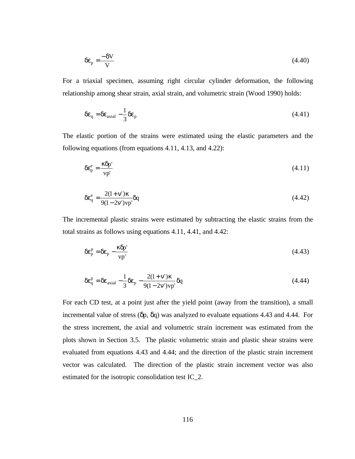$$
\delta \varepsilon_{\rm p} = \frac{-\delta V}{V} \tag{4.40}
$$

For a triaxial specimen, assuming right circular cylinder deformation, the following relationship among shear strain, axial strain, and volumetric strain (Wood 1990) holds:

$$
\delta \varepsilon_{\mathbf{q}} = \delta \varepsilon_{\text{axial}} - \frac{1}{3} \delta \varepsilon_{\mathbf{p}} \tag{4.41}
$$

The elastic portion of the strains were estimated using the elastic parameters and the following equations (from equations 4.11, 4.13, and 4.22):

$$
\delta \varepsilon_p^e = \frac{\kappa \delta p'}{vp'} \tag{4.11}
$$

$$
\delta \varepsilon_q^e = \frac{2(1 + v')\kappa}{9(1 - 2v')vp'} \delta q \tag{4.42}
$$

The incremental plastic strains were estimated by subtracting the elastic strains from the total strains as follows using equations 4.11, 4.41, and 4.42:

$$
\delta \varepsilon_p^p = \delta \varepsilon_p - \frac{\kappa \delta p'}{vp'} \tag{4.43}
$$

$$
\delta \varepsilon_{\mathbf{q}}^{\mathbf{p}} = \delta \varepsilon_{\text{axial}} - \frac{1}{3} \delta \varepsilon_{\mathbf{p}} - \frac{2(1+\mathbf{v}')\kappa}{9(1-2\mathbf{v}')\mathbf{v}\mathbf{p}'} \delta \mathbf{q}
$$
(4.44)

For each CD test, at a point just after the yield point (away from the transition), a small incremental value of stress ( $\delta p$ ,  $\delta q$ ) was analyzed to evaluate equations 4.43 and 4.44. For the stress increment, the axial and volumetric strain increment was estimated from the plots shown in Section 3.5. The plastic volumetric strain and plastic shear strains were evaluated from equations 4.43 and 4.44; and the direction of the plastic strain increment vector was calculated. The direction of the plastic strain increment vector was also estimated for the isotropic consolidation test IC\_2.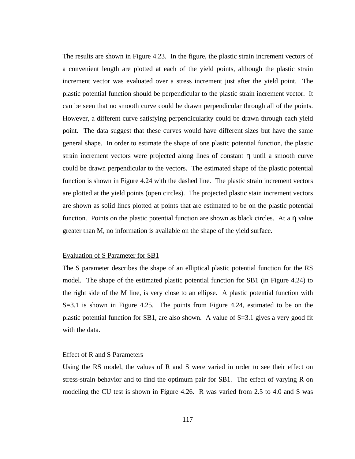The results are shown in Figure 4.23. In the figure, the plastic strain increment vectors of a convenient length are plotted at each of the yield points, although the plastic strain increment vector was evaluated over a stress increment just after the yield point. The plastic potential function should be perpendicular to the plastic strain increment vector. It can be seen that no smooth curve could be drawn perpendicular through all of the points. However, a different curve satisfying perpendicularity could be drawn through each yield point. The data suggest that these curves would have different sizes but have the same general shape. In order to estimate the shape of one plastic potential function, the plastic strain increment vectors were projected along lines of constant η until a smooth curve could be drawn perpendicular to the vectors. The estimated shape of the plastic potential function is shown in Figure 4.24 with the dashed line. The plastic strain increment vectors are plotted at the yield points (open circles). The projected plastic stain increment vectors are shown as solid lines plotted at points that are estimated to be on the plastic potential function. Points on the plastic potential function are shown as black circles. At a η value greater than M, no information is available on the shape of the yield surface.

## Evaluation of S Parameter for SB1

The S parameter describes the shape of an elliptical plastic potential function for the RS model. The shape of the estimated plastic potential function for SB1 (in Figure 4.24) to the right side of the M line, is very close to an ellipse. A plastic potential function with S=3.1 is shown in Figure 4.25. The points from Figure 4.24, estimated to be on the plastic potential function for SB1, are also shown. A value of  $S=3.1$  gives a very good fit with the data.

# Effect of R and S Parameters

Using the RS model, the values of R and S were varied in order to see their effect on stress-strain behavior and to find the optimum pair for SB1. The effect of varying R on modeling the CU test is shown in Figure 4.26. R was varied from 2.5 to 4.0 and S was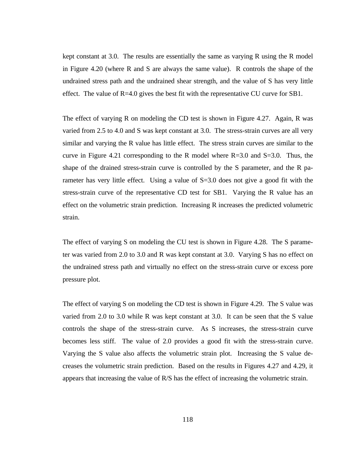kept constant at 3.0. The results are essentially the same as varying R using the R model in Figure 4.20 (where R and S are always the same value). R controls the shape of the undrained stress path and the undrained shear strength, and the value of S has very little effect. The value of  $R=4.0$  gives the best fit with the representative CU curve for SB1.

The effect of varying R on modeling the CD test is shown in Figure 4.27. Again, R was varied from 2.5 to 4.0 and S was kept constant at 3.0. The stress-strain curves are all very similar and varying the R value has little effect. The stress strain curves are similar to the curve in Figure 4.21 corresponding to the R model where  $R=3.0$  and  $S=3.0$ . Thus, the shape of the drained stress-strain curve is controlled by the S parameter, and the R parameter has very little effect. Using a value of  $S=3.0$  does not give a good fit with the stress-strain curve of the representative CD test for SB1. Varying the R value has an effect on the volumetric strain prediction. Increasing R increases the predicted volumetric strain.

The effect of varying S on modeling the CU test is shown in Figure 4.28. The S parameter was varied from 2.0 to 3.0 and R was kept constant at 3.0. Varying S has no effect on the undrained stress path and virtually no effect on the stress-strain curve or excess pore pressure plot.

The effect of varying S on modeling the CD test is shown in Figure 4.29. The S value was varied from 2.0 to 3.0 while R was kept constant at 3.0. It can be seen that the S value controls the shape of the stress-strain curve. As S increases, the stress-strain curve becomes less stiff. The value of 2.0 provides a good fit with the stress-strain curve. Varying the S value also affects the volumetric strain plot. Increasing the S value decreases the volumetric strain prediction. Based on the results in Figures 4.27 and 4.29, it appears that increasing the value of R/S has the effect of increasing the volumetric strain.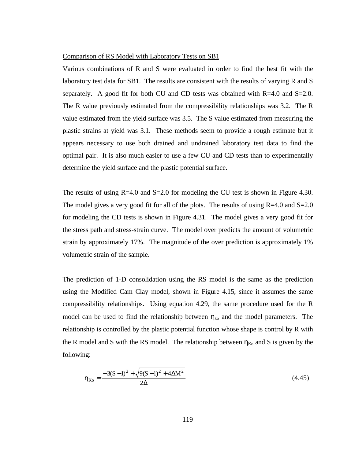#### Comparison of RS Model with Laboratory Tests on SB1

Various combinations of R and S were evaluated in order to find the best fit with the laboratory test data for SB1. The results are consistent with the results of varying R and S separately. A good fit for both CU and CD tests was obtained with  $R=4.0$  and  $S=2.0$ . The R value previously estimated from the compressibility relationships was 3.2. The R value estimated from the yield surface was 3.5. The S value estimated from measuring the plastic strains at yield was 3.1. These methods seem to provide a rough estimate but it appears necessary to use both drained and undrained laboratory test data to find the optimal pair. It is also much easier to use a few CU and CD tests than to experimentally determine the yield surface and the plastic potential surface.

The results of using  $R=4.0$  and  $S=2.0$  for modeling the CU test is shown in Figure 4.30. The model gives a very good fit for all of the plots. The results of using  $R=4.0$  and  $S=2.0$ for modeling the CD tests is shown in Figure 4.31. The model gives a very good fit for the stress path and stress-strain curve. The model over predicts the amount of volumetric strain by approximately 17%. The magnitude of the over prediction is approximately 1% volumetric strain of the sample.

The prediction of 1-D consolidation using the RS model is the same as the prediction using the Modified Cam Clay model, shown in Figure 4.15, since it assumes the same compressibility relationships. Using equation 4.29, the same procedure used for the R model can be used to find the relationship between  $\eta_{k_0}$  and the model parameters. The relationship is controlled by the plastic potential function whose shape is control by R with the R model and S with the RS model. The relationship between  $\eta_{K_0}$  and S is given by the following:

$$
\eta_{\text{Ko}} = \frac{-3(S-1)^2 + \sqrt{9(S-1)^2 + 4\Delta M^2}}{2\Delta} \tag{4.45}
$$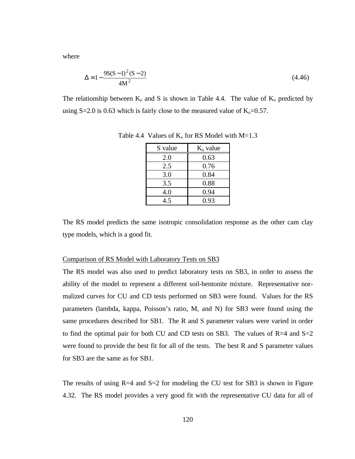where

$$
\Delta = 1 - \frac{9S(S-1)^2(S-2)}{4M^2}
$$
\n(4.46)

The relationship between  $K_0$  and S is shown in Table 4.4. The value of  $K_0$  predicted by using S=2.0 is 0.63 which is fairly close to the measured value of  $K_0=0.57$ .

| S value | $Ko$ value |
|---------|------------|
| 2.0     | 0.63       |
| 2.5     | 0.76       |
| 3.0     | 0.84       |
| 3.5     | 0.88       |
| 4.0     | 0.94       |
| 4.5     | 0.93       |

Table 4.4 Values of  $K_0$  for RS Model with M=1.3

The RS model predicts the same isotropic consolidation response as the other cam clay type models, which is a good fit.

## Comparison of RS Model with Laboratory Tests on SB3

The RS model was also used to predict laboratory tests on SB3, in order to assess the ability of the model to represent a different soil-bentonite mixture. Representative normalized curves for CU and CD tests performed on SB3 were found. Values for the RS parameters (lambda, kappa, Poisson's ratio, M, and N) for SB3 were found using the same procedures described for SB1. The R and S parameter values were varied in order to find the optimal pair for both CU and CD tests on SB3. The values of  $R=4$  and  $S=2$ were found to provide the best fit for all of the tests. The best R and S parameter values for SB3 are the same as for SB1.

The results of using  $R=4$  and  $S=2$  for modeling the CU test for SB3 is shown in Figure 4.32. The RS model provides a very good fit with the representative CU data for all of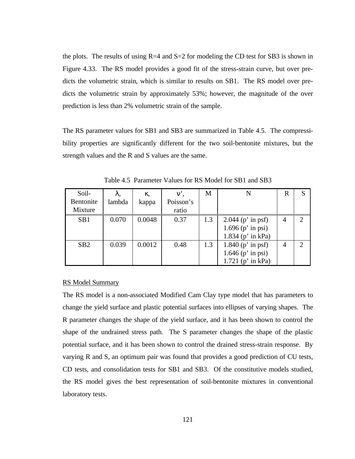the plots. The results of using  $R=4$  and  $S=2$  for modeling the CD test for SB3 is shown in Figure 4.33. The RS model provides a good fit of the stress-strain curve, but over predicts the volumetric strain, which is similar to results on SB1. The RS model over predicts the volumetric strain by approximately 53%; however, the magnitude of the over prediction is less than 2% volumetric strain of the sample.

The RS parameter values for SB1 and SB3 are summarized in Table 4.5. The compressibility properties are significantly different for the two soil-bentonite mixtures, but the strength values and the R and S values are the same.

| Soil-           | λ,     | к.     |           | M   |                       | $\overline{\mathrm{R}}$ |   |
|-----------------|--------|--------|-----------|-----|-----------------------|-------------------------|---|
| Bentonite       | lambda | kappa  | Poisson's |     |                       |                         |   |
| Mixture         |        |        | ratio     |     |                       |                         |   |
| SB1             | 0.070  | 0.0048 | 0.37      | 1.3 | 2.044 ( $p'$ in psf)  | $\overline{4}$          | ◠ |
|                 |        |        |           |     | 1.696 $(p'$ in psi)   |                         |   |
|                 |        |        |           |     | 1.834 ( $p$ ' in kPa) |                         |   |
| SB <sub>2</sub> | 0.039  | 0.0012 | 0.48      | 1.3 | 1.840 ( $p'$ in psf)  |                         |   |
|                 |        |        |           |     | 1.646 ( $p$ ' in psi) |                         |   |
|                 |        |        |           |     | $1.721$ (p' in kPa)   |                         |   |

Table 4.5 Parameter Values for RS Model for SB1 and SB3

#### RS Model Summary

The RS model is a non-associated Modified Cam Clay type model that has parameters to change the yield surface and plastic potential surfaces into ellipses of varying shapes. The R parameter changes the shape of the yield surface, and it has been shown to control the shape of the undrained stress path. The S parameter changes the shape of the plastic potential surface, and it has been shown to control the drained stress-strain response. By varying R and S, an optimum pair was found that provides a good prediction of CU tests, CD tests, and consolidation tests for SB1 and SB3. Of the constitutive models studied, the RS model gives the best representation of soil-bentonite mixtures in conventional laboratory tests.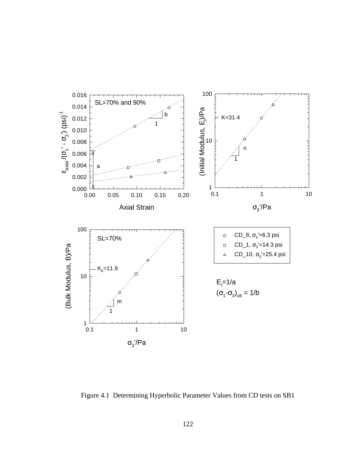

Figure 4.1 Determining Hyperbolic Parameter Values from CD tests on SB1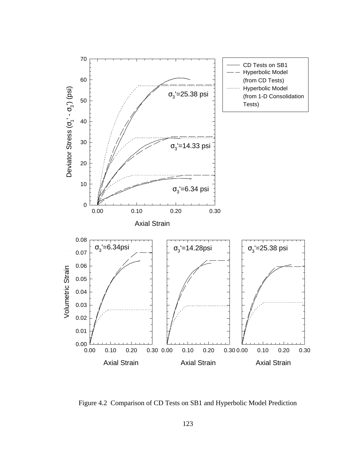

Figure 4.2 Comparison of CD Tests on SB1 and Hyperbolic Model Prediction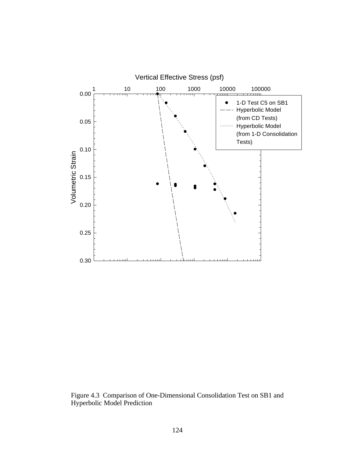

Figure 4.3 Comparison of One-Dimensional Consolidation Test on SB1 and Hyperbolic Model Prediction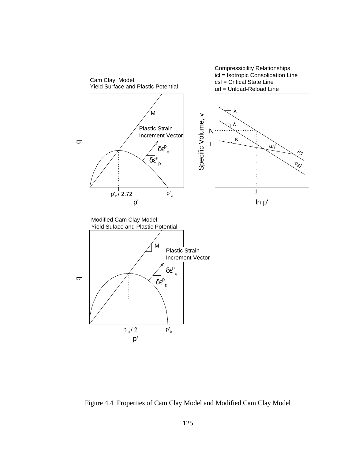

Figure 4.4 Properties of Cam Clay Model and Modified Cam Clay Model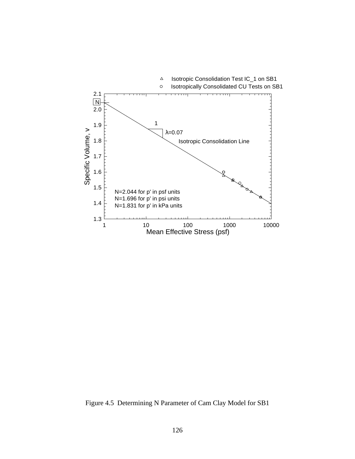

Figure 4.5 Determining N Parameter of Cam Clay Model for SB1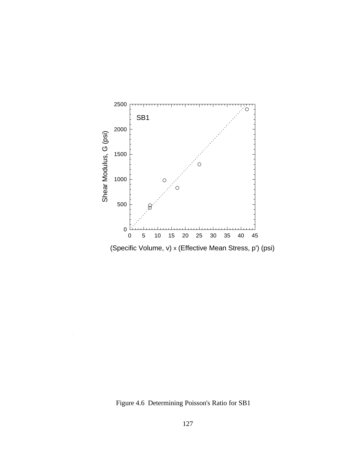

Figure 4.6 Determining Poisson's Ratio for SB1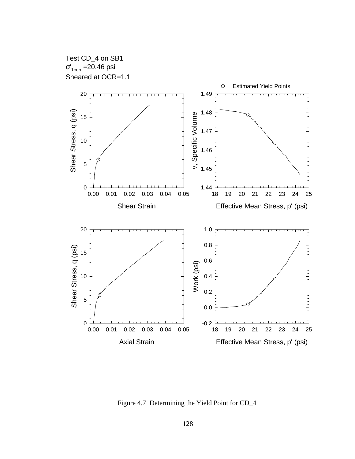

Figure 4.7 Determining the Yield Point for CD\_4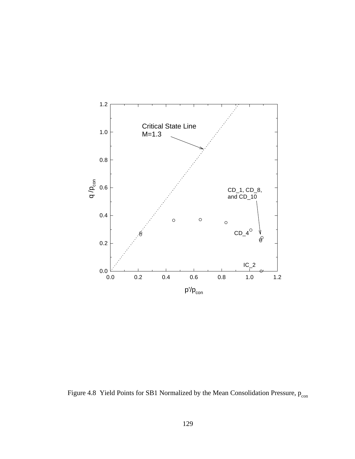

Figure 4.8 Yield Points for SB1 Normalized by the Mean Consolidation Pressure,  $p_{con}$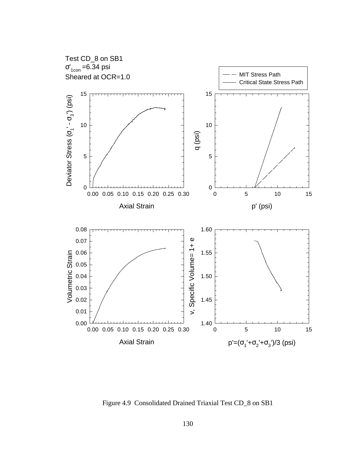

Figure 4.9 Consolidated Drained Triaxial Test CD\_8 on SB1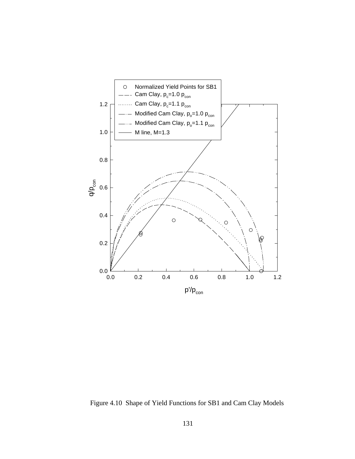

Figure 4.10 Shape of Yield Functions for SB1 and Cam Clay Models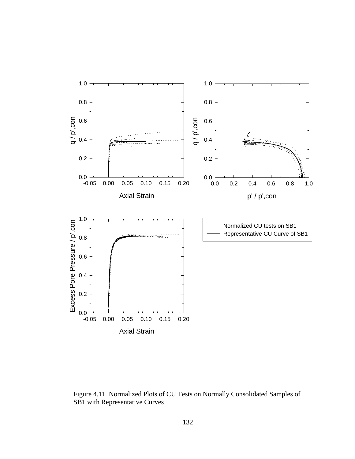

Figure 4.11 Normalized Plots of CU Tests on Normally Consolidated Samples of SB1 with Representative Curves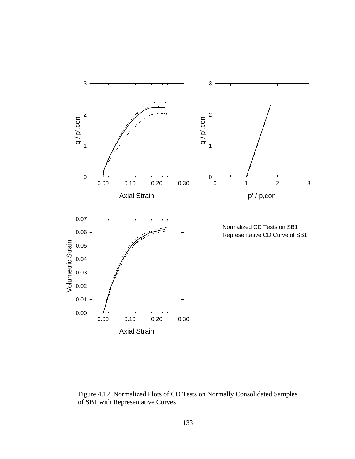

Figure 4.12 Normalized Plots of CD Tests on Normally Consolidated Samples of SB1 with Representative Curves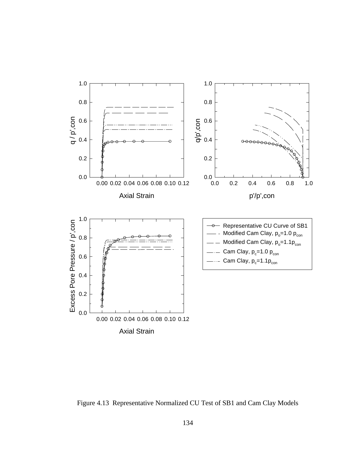

Figure 4.13 Representative Normalized CU Test of SB1 and Cam Clay Models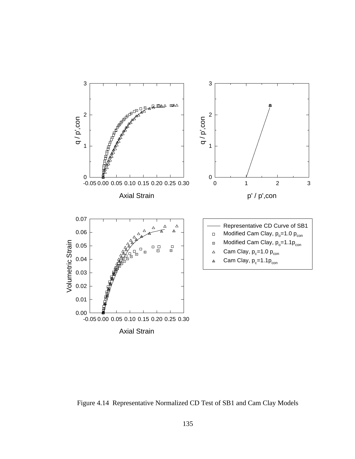

Figure 4.14 Representative Normalized CD Test of SB1 and Cam Clay Models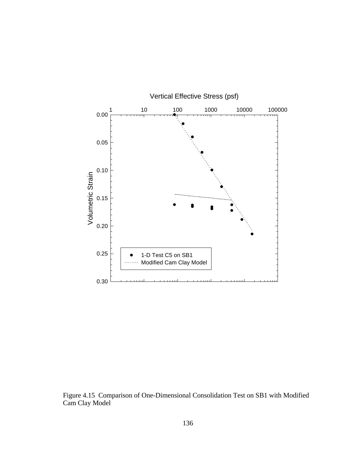

Figure 4.15 Comparison of One-Dimensional Consolidation Test on SB1 with Modified Cam Clay Model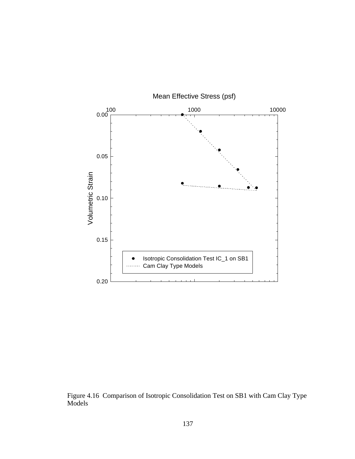

Figure 4.16 Comparison of Isotropic Consolidation Test on SB1 with Cam Clay Type Models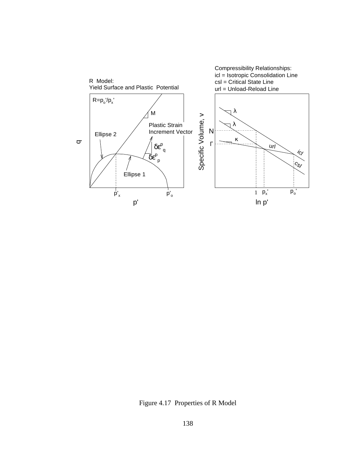

Figure 4.17 Properties of R Model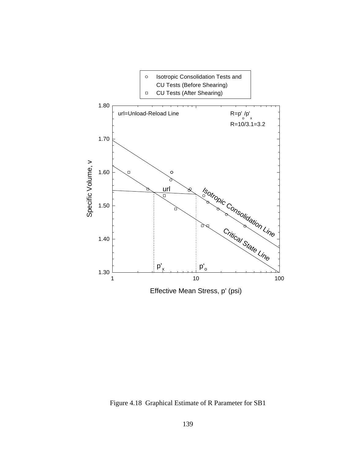

Figure 4.18 Graphical Estimate of R Parameter for SB1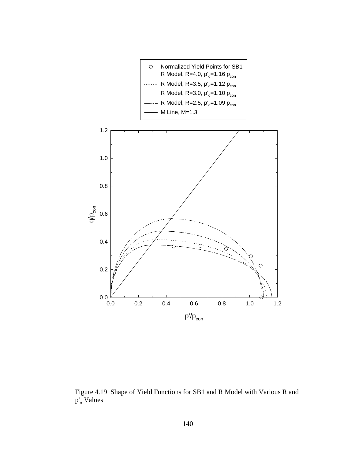

Figure 4.19 Shape of Yield Functions for SB1 and R Model with Various R and p'<sub>o</sub> Values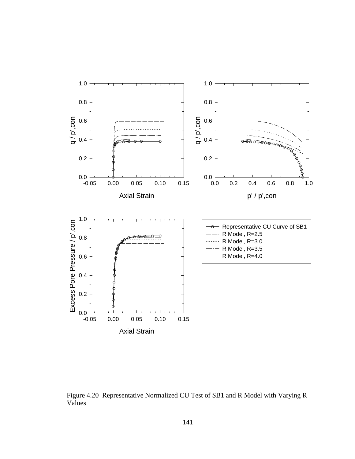

Figure 4.20 Representative Normalized CU Test of SB1 and R Model with Varying R Values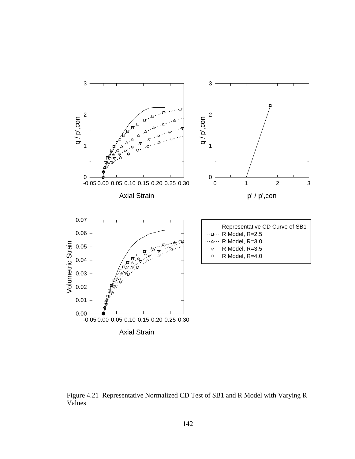

Figure 4.21 Representative Normalized CD Test of SB1 and R Model with Varying R Values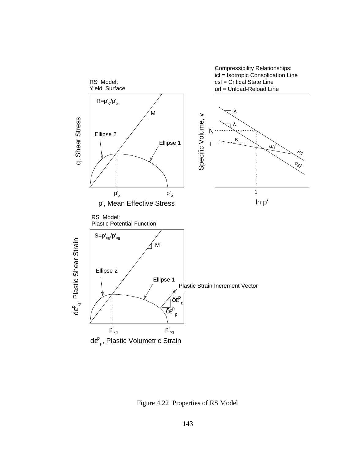

Figure 4.22 Properties of RS Model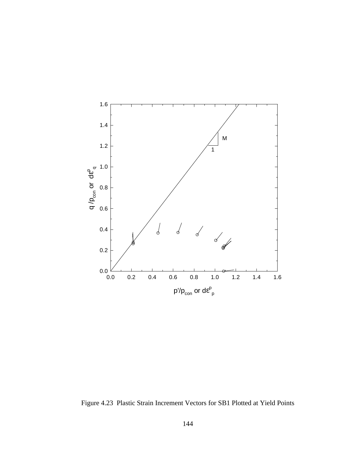

Figure 4.23 Plastic Strain Increment Vectors for SB1 Plotted at Yield Points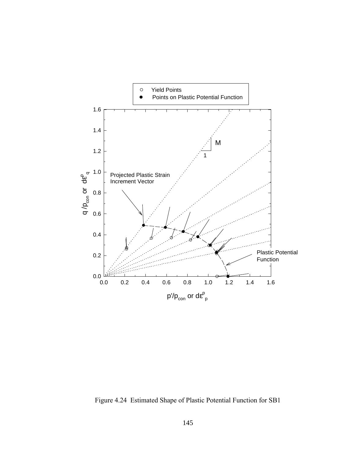

Figure 4.24 Estimated Shape of Plastic Potential Function for SB1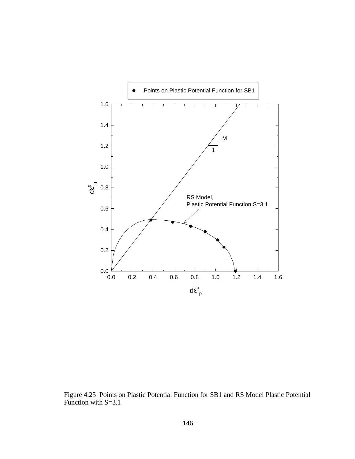

Figure 4.25 Points on Plastic Potential Function for SB1 and RS Model Plastic Potential Function with S=3.1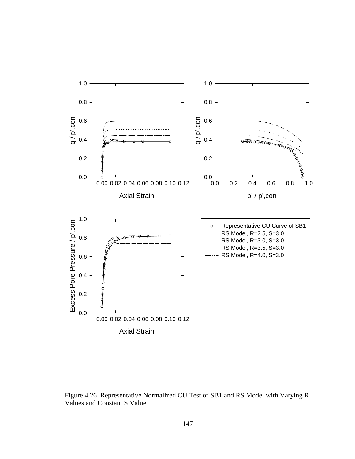

Figure 4.26 Representative Normalized CU Test of SB1 and RS Model with Varying R Values and Constant S Value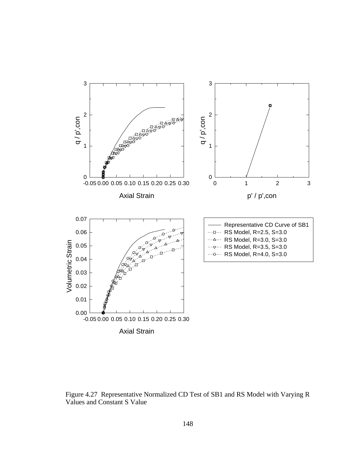

Figure 4.27 Representative Normalized CD Test of SB1 and RS Model with Varying R Values and Constant S Value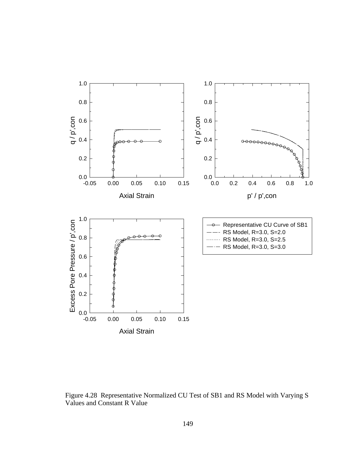

Figure 4.28 Representative Normalized CU Test of SB1 and RS Model with Varying S Values and Constant R Value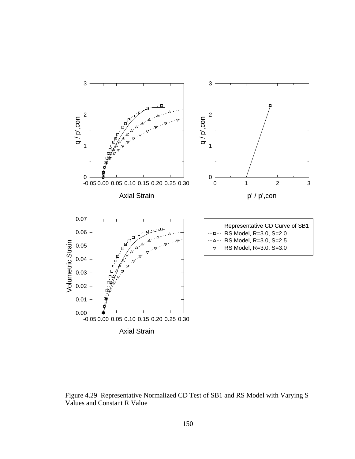

Figure 4.29 Representative Normalized CD Test of SB1 and RS Model with Varying S Values and Constant R Value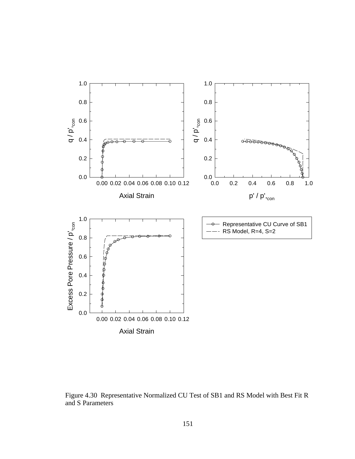

Figure 4.30 Representative Normalized CU Test of SB1 and RS Model with Best Fit R and S Parameters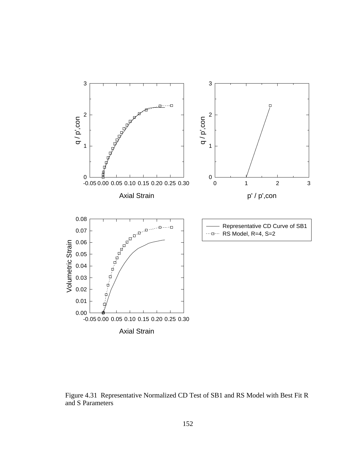

Figure 4.31 Representative Normalized CD Test of SB1 and RS Model with Best Fit R and S Parameters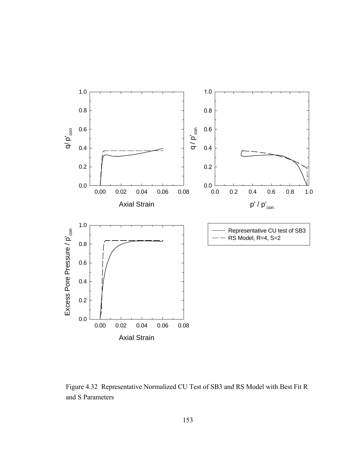

Figure 4.32 Representative Normalized CU Test of SB3 and RS Model with Best Fit R and S Parameters